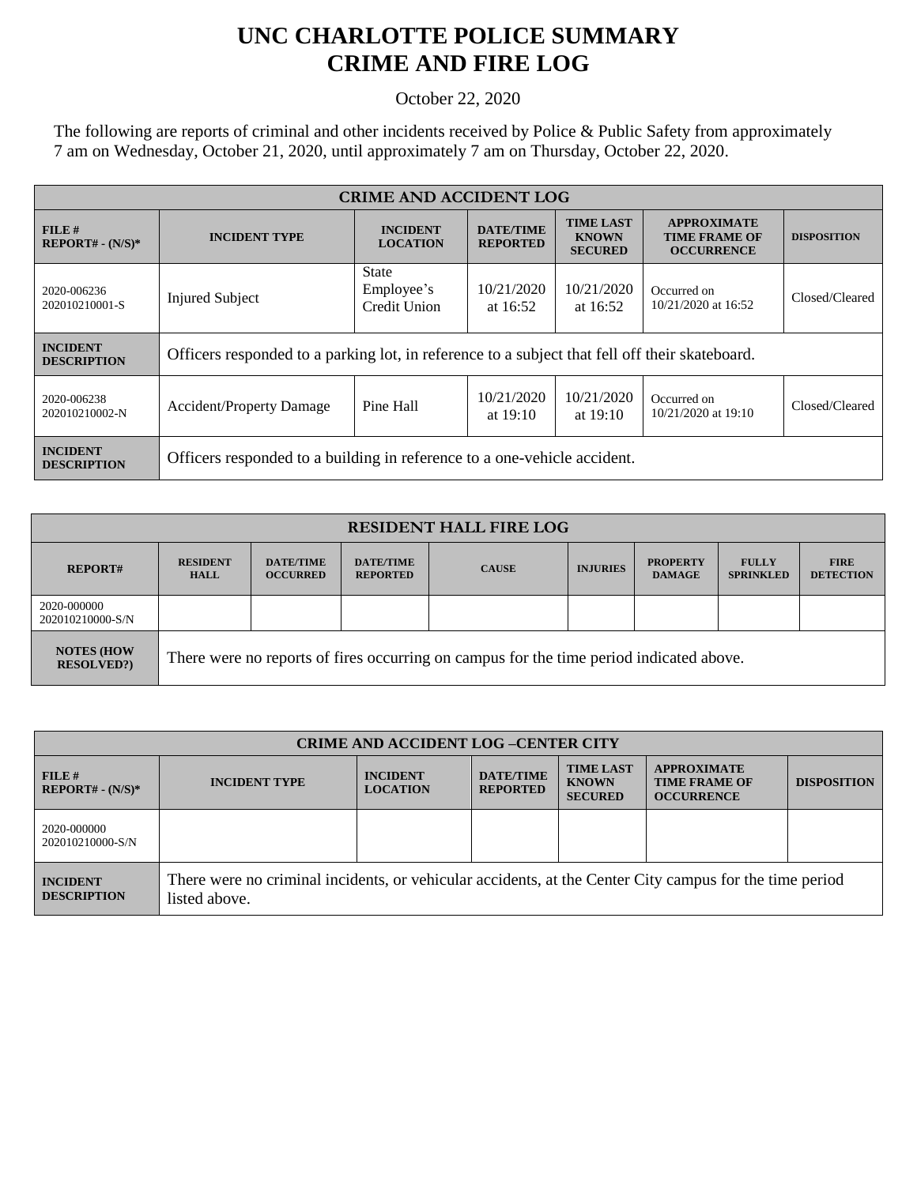## **UNC CHARLOTTE POLICE SUMMARY CRIME AND FIRE LOG**

October 22, 2020

The following are reports of criminal and other incidents received by Police & Public Safety from approximately 7 am on Wednesday, October 21, 2020, until approximately 7 am on Thursday, October 22, 2020.

| <b>CRIME AND ACCIDENT LOG</b>         |                                                                                                |                                            |                                     |                                                                                                                       |                                    |                    |  |
|---------------------------------------|------------------------------------------------------------------------------------------------|--------------------------------------------|-------------------------------------|-----------------------------------------------------------------------------------------------------------------------|------------------------------------|--------------------|--|
| FILE#<br>$REPORT# - (N/S)*$           | <b>INCIDENT TYPE</b>                                                                           | <b>INCIDENT</b><br><b>LOCATION</b>         | <b>DATE/TIME</b><br><b>REPORTED</b> | <b>TIME LAST</b><br><b>APPROXIMATE</b><br><b>KNOWN</b><br><b>TIME FRAME OF</b><br><b>SECURED</b><br><b>OCCURRENCE</b> |                                    | <b>DISPOSITION</b> |  |
| 2020-006236<br>202010210001-S         | <b>Injured Subject</b>                                                                         | <b>State</b><br>Employee's<br>Credit Union | 10/21/2020<br>at $16:52$            | 10/21/2020<br>at 16:52                                                                                                | Occurred on<br>10/21/2020 at 16:52 | Closed/Cleared     |  |
| <b>INCIDENT</b><br><b>DESCRIPTION</b> | Officers responded to a parking lot, in reference to a subject that fell off their skateboard. |                                            |                                     |                                                                                                                       |                                    |                    |  |
| 2020-006238<br>202010210002-N         | <b>Accident/Property Damage</b>                                                                | Pine Hall                                  | 10/21/2020<br>at $19:10$            | 10/21/2020<br>at $19:10$                                                                                              | Occurred on<br>10/21/2020 at 19:10 | Closed/Cleared     |  |
| <b>INCIDENT</b><br><b>DESCRIPTION</b> | Officers responded to a building in reference to a one-vehicle accident.                       |                                            |                                     |                                                                                                                       |                                    |                    |  |

| <b>RESIDENT HALL FIRE LOG</b>         |                                                                                         |                                     |                                     |              |                 |                                  |                                  |                                 |
|---------------------------------------|-----------------------------------------------------------------------------------------|-------------------------------------|-------------------------------------|--------------|-----------------|----------------------------------|----------------------------------|---------------------------------|
| <b>REPORT#</b>                        | <b>RESIDENT</b><br><b>HALL</b>                                                          | <b>DATE/TIME</b><br><b>OCCURRED</b> | <b>DATE/TIME</b><br><b>REPORTED</b> | <b>CAUSE</b> | <b>INJURIES</b> | <b>PROPERTY</b><br><b>DAMAGE</b> | <b>FULLY</b><br><b>SPRINKLED</b> | <b>FIRE</b><br><b>DETECTION</b> |
| 2020-000000<br>202010210000-S/N       |                                                                                         |                                     |                                     |              |                 |                                  |                                  |                                 |
| <b>NOTES (HOW</b><br><b>RESOLVED?</b> | There were no reports of fires occurring on campus for the time period indicated above. |                                     |                                     |              |                 |                                  |                                  |                                 |

| <b>CRIME AND ACCIDENT LOG-CENTER CITY</b> |                                                                                                                          |                                    |                                     |                                                    |                                                                 |                    |
|-------------------------------------------|--------------------------------------------------------------------------------------------------------------------------|------------------------------------|-------------------------------------|----------------------------------------------------|-----------------------------------------------------------------|--------------------|
| FILE#<br>$REPORT# - (N/S)*$               | <b>INCIDENT TYPE</b>                                                                                                     | <b>INCIDENT</b><br><b>LOCATION</b> | <b>DATE/TIME</b><br><b>REPORTED</b> | <b>TIME LAST</b><br><b>KNOWN</b><br><b>SECURED</b> | <b>APPROXIMATE</b><br><b>TIME FRAME OF</b><br><b>OCCURRENCE</b> | <b>DISPOSITION</b> |
| 2020-000000<br>202010210000-S/N           |                                                                                                                          |                                    |                                     |                                                    |                                                                 |                    |
| <b>INCIDENT</b><br><b>DESCRIPTION</b>     | There were no criminal incidents, or vehicular accidents, at the Center City campus for the time period<br>listed above. |                                    |                                     |                                                    |                                                                 |                    |